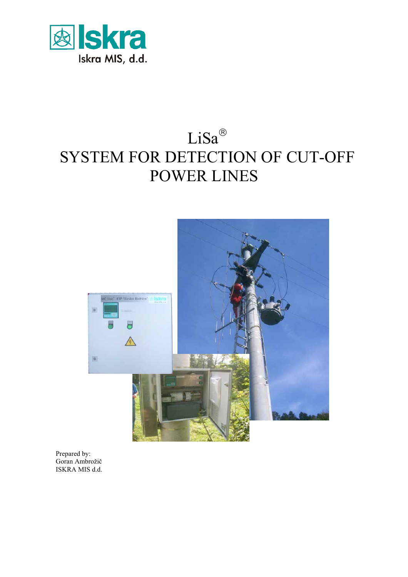

# LiSa® SYSTEM FOR DETECTION OF CUT-OFF POWER LINES



Prepared by: Goran Ambrožič ISKRA MIS d.d.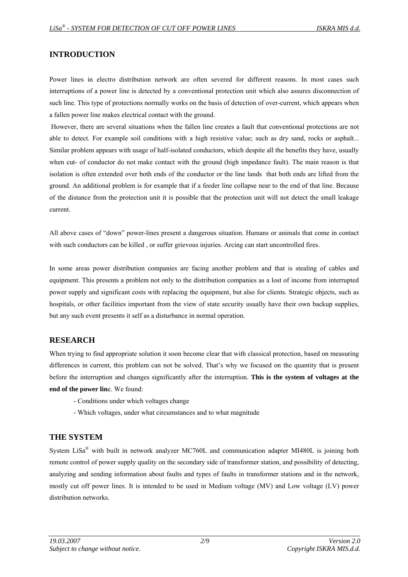# **INTRODUCTION**

Power lines in electro distribution network are often severed for different reasons. In most cases such interruptions of a power line is detected by a conventional protection unit which also assures disconnection of such line. This type of protections normally works on the basis of detection of over-current, which appears when a fallen power line makes electrical contact with the ground.

 However, there are several situations when the fallen line creates a fault that conventional protections are not able to detect. For example soil conditions with a high resistive value; such as dry sand, rocks or asphalt... Similar problem appears with usage of half-isolated conductors, which despite all the benefits they have, usually when cut- of conductor do not make contact with the ground (high impedance fault). The main reason is that isolation is often extended over both ends of the conductor or the line lands that both ends are lifted from the ground. An additional problem is for example that if a feeder line collapse near to the end of that line. Because of the distance from the protection unit it is possible that the protection unit will not detect the small leakage current.

All above cases of "down" power-lines present a dangerous situation. Humans or animals that come in contact with such conductors can be killed, or suffer grievous injuries. Arcing can start uncontrolled fires.

In some areas power distribution companies are facing another problem and that is stealing of cables and equipment. This presents a problem not only to the distribution companies as a lost of income from interrupted power supply and significant costs with replacing the equipment, but also for clients. Strategic objects, such as hospitals, or other facilities important from the view of state security usually have their own backup supplies, but any such event presents it self as a disturbance in normal operation.

## **RESEARCH**

When trying to find appropriate solution it soon become clear that with classical protection, based on measuring differences in current, this problem can not be solved. That's why we focused on the quantity that is present before the interruption and changes significantly after the interruption. **This is the system of voltages at the end of the power lin**e. We found:

- Conditions under which voltages change
- Which voltages, under what circumstances and to what magnitude

## **THE SYSTEM**

System LiSa® with built in network analyzer MC760L and communication adapter MI480L is joining both remote control of power supply quality on the secondary side of transformer station, and possibility of detecting, analyzing and sending information about faults and types of faults in transformer stations and in the network, mostly cut off power lines. It is intended to be used in Medium voltage (MV) and Low voltage (LV) power distribution networks.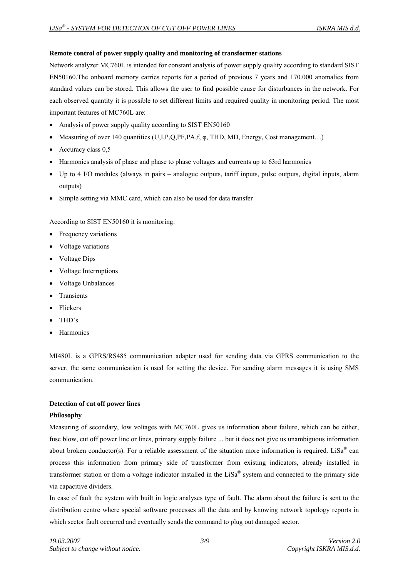## **Remote control of power supply quality and monitoring of transformer stations**

Network analyzer MC760L is intended for constant analysis of power supply quality according to standard SIST EN50160.The onboard memory carries reports for a period of previous 7 years and 170.000 anomalies from standard values can be stored. This allows the user to find possible cause for disturbances in the network. For each observed quantity it is possible to set different limits and required quality in monitoring period. The most important features of MC760L are:

- Analysis of power supply quality according to SIST EN50160
- Measuring of over 140 quantities (U,I,P,Q,PF,PA,f, φ, THD, MD, Energy, Cost management…)
- Accuracy class 0.5
- Harmonics analysis of phase and phase to phase voltages and currents up to 63rd harmonics
- Up to 4 I/O modules (always in pairs analogue outputs, tariff inputs, pulse outputs, digital inputs, alarm outputs)
- Simple setting via MMC card, which can also be used for data transfer

According to SIST EN50160 it is monitoring:

- Frequency variations
- Voltage variations
- Voltage Dips
- Voltage Interruptions
- Voltage Unbalances
- Transients
- Flickers
- THD's
- **Harmonics**

MI480L is a GPRS/RS485 communication adapter used for sending data via GPRS communication to the server, the same communication is used for setting the device. For sending alarm messages it is using SMS communication.

## **Detection of cut off power lines**

## **Philosophy**

Measuring of secondary, low voltages with MC760L gives us information about failure, which can be either, fuse blow, cut off power line or lines, primary supply failure ... but it does not give us unambiguous information about broken conductor(s). For a reliable assessment of the situation more information is required. LiSa<sup>®</sup> can process this information from primary side of transformer from existing indicators, already installed in transformer station or from a voltage indicator installed in the LiSa® system and connected to the primary side via capacitive dividers.

In case of fault the system with built in logic analyses type of fault. The alarm about the failure is sent to the distribution centre where special software processes all the data and by knowing network topology reports in which sector fault occurred and eventually sends the command to plug out damaged sector.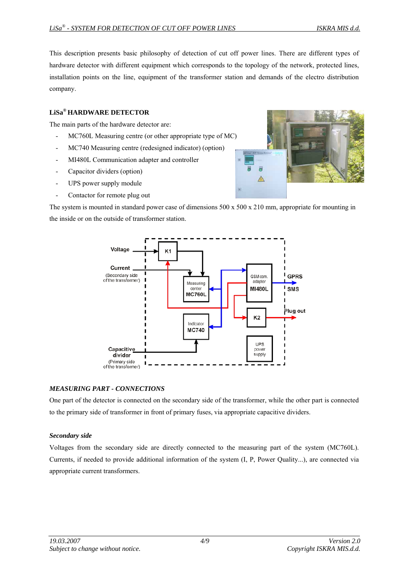This description presents basic philosophy of detection of cut off power lines. There are different types of hardware detector with different equipment which corresponds to the topology of the network, protected lines, installation points on the line, equipment of the transformer station and demands of the electro distribution company.

#### **LiSa® HARDWARE DETECTOR**

The main parts of the hardware detector are:

- MC760L Measuring centre (or other appropriate type of MC)
- MC740 Measuring centre (redesigned indicator) (option)
- MI480L Communication adapter and controller
- Capacitor dividers (option)
- UPS power supply module
- Contactor for remote plug out

The system is mounted in standard power case of dimensions 500 x 500 x 210 mm, appropriate for mounting in the inside or on the outside of transformer station.



#### *MEASURING PART - CONNECTIONS*

One part of the detector is connected on the secondary side of the transformer, while the other part is connected to the primary side of transformer in front of primary fuses, via appropriate capacitive dividers.

#### *Secondary side*

Voltages from the secondary side are directly connected to the measuring part of the system (MC760L). Currents, if needed to provide additional information of the system (I, P, Power Quality...), are connected via appropriate current transformers.

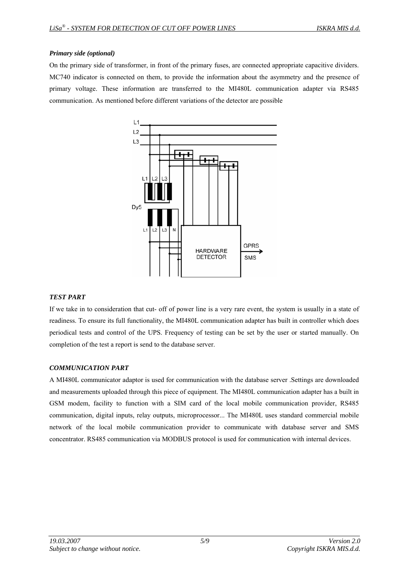#### *Primary side (optional)*

On the primary side of transformer, in front of the primary fuses, are connected appropriate capacitive dividers. MC740 indicator is connected on them, to provide the information about the asymmetry and the presence of primary voltage. These information are transferred to the MI480L communication adapter via RS485 communication. As mentioned before different variations of the detector are possible



## *TEST PART*

If we take in to consideration that cut- off of power line is a very rare event, the system is usually in a state of readiness. To ensure its full functionality, the MI480L communication adapter has built in controller which does periodical tests and control of the UPS. Frequency of testing can be set by the user or started manually. On completion of the test a report is send to the database server.

## *COMMUNICATION PART*

A MI480L communicator adaptor is used for communication with the database server .Settings are downloaded and measurements uploaded through this piece of equipment. The MI480L communication adapter has a built in GSM modem, facility to function with a SIM card of the local mobile communication provider, RS485 communication, digital inputs, relay outputs, microprocessor... The MI480L uses standard commercial mobile network of the local mobile communication provider to communicate with database server and SMS concentrator. RS485 communication via MODBUS protocol is used for communication with internal devices.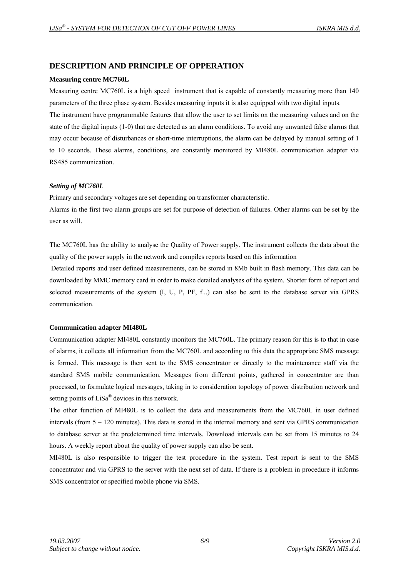# **DESCRIPTION AND PRINCIPLE OF OPPERATION**

#### **Measuring centre MC760L**

Measuring centre MC760L is a high speed instrument that is capable of constantly measuring more than 140 parameters of the three phase system. Besides measuring inputs it is also equipped with two digital inputs.

The instrument have programmable features that allow the user to set limits on the measuring values and on the state of the digital inputs (1-0) that are detected as an alarm conditions. To avoid any unwanted false alarms that may occur because of disturbances or short-time interruptions, the alarm can be delayed by manual setting of 1 to 10 seconds. These alarms, conditions, are constantly monitored by MI480L communication adapter via RS485 communication.

#### *Setting of MC760L*

Primary and secondary voltages are set depending on transformer characteristic.

Alarms in the first two alarm groups are set for purpose of detection of failures. Other alarms can be set by the user as will.

The MC760L has the ability to analyse the Quality of Power supply. The instrument collects the data about the quality of the power supply in the network and compiles reports based on this information

 Detailed reports and user defined measurements, can be stored in 8Mb built in flash memory. This data can be downloaded by MMC memory card in order to make detailed analyses of the system. Shorter form of report and selected measurements of the system (I, U, P, PF, f...) can also be sent to the database server via GPRS communication.

## **Communication adapter MI480L**

Communication adapter MI480L constantly monitors the MC760L. The primary reason for this is to that in case of alarms, it collects all information from the MC760L and according to this data the appropriate SMS message is formed. This message is then sent to the SMS concentrator or directly to the maintenance staff via the standard SMS mobile communication. Messages from different points, gathered in concentrator are than processed, to formulate logical messages, taking in to consideration topology of power distribution network and setting points of LiSa® devices in this network.

The other function of MI480L is to collect the data and measurements from the MC760L in user defined intervals (from 5 – 120 minutes). This data is stored in the internal memory and sent via GPRS communication to database server at the predetermined time intervals. Download intervals can be set from 15 minutes to 24 hours. A weekly report about the quality of power supply can also be sent.

MI480L is also responsible to trigger the test procedure in the system. Test report is sent to the SMS concentrator and via GPRS to the server with the next set of data. If there is a problem in procedure it informs SMS concentrator or specified mobile phone via SMS.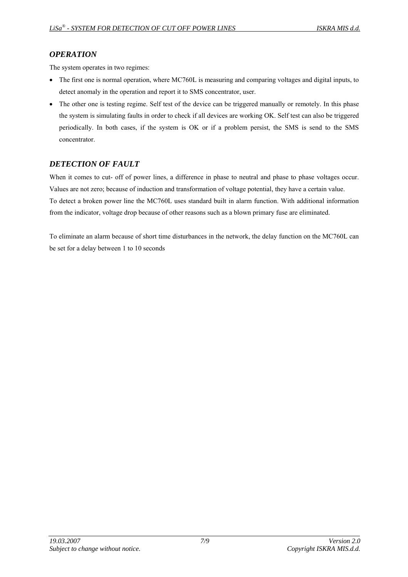# *OPERATION*

The system operates in two regimes:

- The first one is normal operation, where MC760L is measuring and comparing voltages and digital inputs, to detect anomaly in the operation and report it to SMS concentrator, user.
- The other one is testing regime. Self test of the device can be triggered manually or remotely. In this phase the system is simulating faults in order to check if all devices are working OK. Self test can also be triggered periodically. In both cases, if the system is OK or if a problem persist, the SMS is send to the SMS concentrator.

# *DETECTION OF FAULT*

When it comes to cut- off of power lines, a difference in phase to neutral and phase to phase voltages occur. Values are not zero; because of induction and transformation of voltage potential, they have a certain value. To detect a broken power line the MC760L uses standard built in alarm function. With additional information from the indicator, voltage drop because of other reasons such as a blown primary fuse are eliminated.

To eliminate an alarm because of short time disturbances in the network, the delay function on the MC760L can be set for a delay between 1 to 10 seconds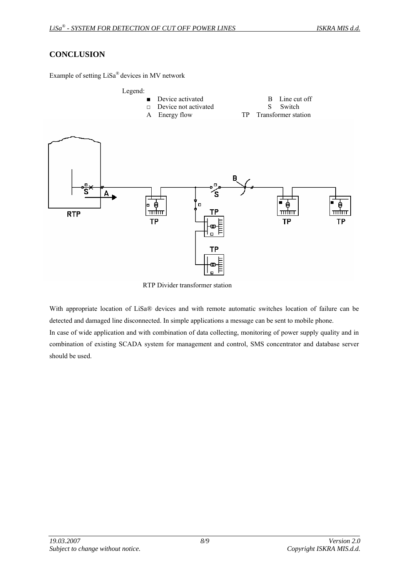# **CONCLUSION**

Example of setting LiSa® devices in MV network



RTP Divider transformer station

With appropriate location of LiSa® devices and with remote automatic switches location of failure can be detected and damaged line disconnected. In simple applications a message can be sent to mobile phone. In case of wide application and with combination of data collecting, monitoring of power supply quality and in combination of existing SCADA system for management and control, SMS concentrator and database server should be used.